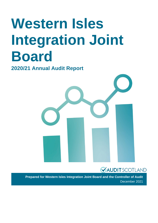# **Western Isles Integration Joint Board**

**2020/21 Annual Audit Report**



### **VAUDITSCOTLAND**

**Prepared for Western Isles Integration Joint Board and the Controller of Audit**  December 2021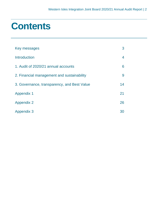### **Contents**

| Key messages                                | 3  |
|---------------------------------------------|----|
| Introduction                                | 4  |
| 1. Audit of 2020/21 annual accounts         | 6  |
| 2. Financial management and sustainability  | 9  |
| 3. Governance, transparency, and Best Value | 14 |
| <b>Appendix 1</b>                           | 21 |
| <b>Appendix 2</b>                           | 26 |
| <b>Appendix 3</b>                           | 30 |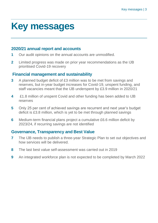### <span id="page-2-0"></span>**Key messages**

#### **2020/21 annual report and accounts**

- **1** Our audit opinions on the annual accounts are unmodified.
- **2** Limited progress was made on prior year recommendations as the IJB prioritised Covid-19 recovery

#### **Financial management and sustainability**

- **3** A planned budget deficit of £3 million was to be met from savings and reserves, but in-year budget increases for Covid-19, unspent funding, and staff vacancies meant that the IJB underspent by £3.9 million in 2020/21
- **4** £1.8 million of unspent Covid and other funding has been added to IJB reserves
- **5** Only 25 per cent of achieved savings are recurrent and next year's budget deficit is £3.8 million, which is yet to be met through planned savings
- **6** Medium-term financial plans project a cumulative £6.6 million deficit by 2023/24, if recurring savings are not identified

#### **Governance, Transparency and Best Value**

- **7** The IJB needs to publish a three-year Strategic Plan to set out objectives and how services will be delivered.
- **8** The last best value self-assessment was carried out in 2019
- **9** An integrated workforce plan is not expected to be completed by March 2022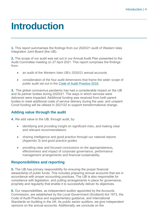### <span id="page-3-0"></span>**Introduction**

**1.** This report summarises the findings from our 2020/21 audit of Western Isles Integration Joint Board (the IJB).

**2.** The scope of our audit was set out in our Annual Audit Plan presented to the Audit Committee meeting on 27 April 2021. This report comprises the findings from:

- an audit of the Western Isles IJB's 2020/21 annual accounts
- consideration of the four audit dimensions that frame the wider scope of public audit set out in the [Code of Audit Practice 2016.](http://www.audit-scotland.gov.uk/report/code-of-audit-practice-2016)

**3.** The global coronavirus pandemic has had a considerable impact on the IJB and its partner bodies during 2020/21. The ways in which services were delivered were impacted. Additional funding was received from both parent bodies to meet additional costs of service delivery during the year, and unspent Covid funding will be utilised in 2021/22 to support transformational change.

#### **Adding value through the audit**

**4.** We add value to the IJB, through audit, by:

- identifying and providing insight on significant risks, and making clear and relevant recommendations
- sharing intelligence and good practice through our national reports [\(Appendix 3\)](#page-29-0) and good practice guides
- providing clear and focused conclusions on the appropriateness, effectiveness and impact of corporate governance, performance management arrangements and financial sustainability.

#### **Responsibilities and reporting**

**5.** The IJB has primary responsibility for ensuring the proper financial stewardship of public funds. This includes preparing annual accounts that are in accordance with proper accounting practices. The IJB is also responsible for compliance with legislation, and putting arrangements in place for governance, propriety and regularity that enable it to successfully deliver its objectives.

**6.** Our responsibilities, as independent auditor appointed by the Accounts Commission, are established by the Local Government (Scotland) Act 1973, the Code of Audit Practice and supplementary guidance, and International Standards on Auditing in the UK. As public sector auditors, we give independent opinions on the annual accounts. Additionally, we conclude on the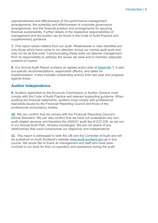appropriateness and effectiveness of the performance management arrangements, the suitability and effectiveness of corporate governance arrangements, and the financial position and arrangements for securing financial sustainability. Further details of the respective responsibilities of management and the auditor can be found in the Code of Audit Practice and supplementary quidance.

**7.** This report raises matters from our audit. Weaknesses or risks identified are only those which have come to our attention during our normal audit work and may not be all that exist. Communicating these does not absolve management from its responsibility to address the issues we raise and to maintain adequate systems of control.

**8.** Our Annual Audit Report contains an agreed action plan at [Appendix 1.](#page-20-0) It sets out specific recommendations, responsible officers, and dates for implementation. It also includes outstanding actions from last year and progress against these.

#### **Auditor Independence**

**9.** Auditors appointed by the Accounts Commission or Auditor General must comply with the Code of Audit Practice and relevant supporting guidance. When auditing the financial statements, auditors must comply with professional standards issued by the Financial Reporting Council and those of the professional accountancy bodies.

**10.** We can confirm that we comply with the Financial Reporting Council's Ethical Standard. We can also confirm that we have not undertaken any nonaudit related services and therefore the 2020/21 audit fee of £27,330, as set out in our Annual Audit Plan, remains unchanged. We are not aware of any relationships that could compromise our objectivity and independence.

**11.** This report is addressed to both the IJB and the Controller of Audit and will be published on Audit Scotland's website [www.audit-scotland.gov.uk](http://www.audit-scotland.gov.uk/) in due course. We would like to thank all management and staff who have been involved in our work for their co-operation and assistance during the audit.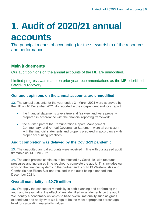## <span id="page-5-0"></span>**1. Audit of 2020/21 annual accounts**

The principal means of accounting for the stewardship of the resources and performance

#### **Main judgements**

Our audit opinions on the annual accounts of the IJB are unmodified.

Limited progress was made on prior year recommendations as the IJB prioritised Covid-19 recovery

#### **Our audit opinions on the annual accounts are unmodified**

**12.** The annual accounts for the year ended 31 March 2021 were approved by the IJB on 16 December 2021. As reported in the independent auditor's report:

- the financial statements give a true and fair view and were properly prepared in accordance with the financial reporting framework
- the audited part of the Remuneration Report, Management Commentary, and Annual Governance Statement were all consistent with the financial statements and properly prepared in accordance with proper accounting practices.

#### **Audit completion was delayed by the Covid-19 pandemic**

**13.** The unaudited annual accounts were received in line with our agreed audit timetable on 14 June 2021.

**14.** The audit process continues to be affected by Covid-19, with resource pressures and increased time required to complete the audit. This includes our work on the financial systems in the partner audits of NHS Western Isles and Comhairle nan Eilean Siar and resulted in the audit being extended into December 2021.

#### **Overall materiality is £0.79 million**

**15.** We apply the concept of materiality in both planning and performing the audit and in evaluating the effect of any identified misstatements on the audit. We identify a benchmark on which to base overall materiality such as gross expenditure and apply what we judge to be the most appropriate percentage level for calculating materiality values.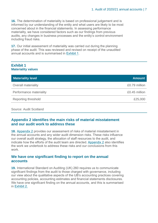**16.** The determination of materiality is based on professional judgement and is informed by our understanding of the entity and what users are likely to be most concerned about in the financial statements. In assessing performance materiality, we have considered factors such as our findings from previous audits, any changes in business processes and the entity's control environment including fraud risks.

**17.** Our initial assessment of materiality was carried out during the planning phase of the audit. This was reviewed and revised on receipt of the unaudited annual accounts and is summarised in [Exhibit 1.](#page-6-0)

#### <span id="page-6-0"></span>**Exhibit 1 Materiality values**

| <b>Materiality level</b> | <b>Amount</b> |
|--------------------------|---------------|
| Overall materiality      | £0.79 million |
| Performance materiality  | £0.45 million |
| Reporting threshold      | £25,000       |
|                          |               |

#### Source: Audit Scotland

#### **Appendix 2 identifies the main risks of material misstatement and our audit work to address these**

**18.** [Appendix 2](#page-25-0) provides our assessment of risks of material misstatement in the annual accounts and any wider audit dimension risks. These risks influence our overall audit strategy, the allocation of staff resources to the audit, and indicate how the efforts of the audit team are directed. [Appendix 2](#page-25-0) also identifies the work we undertook to address these risks and our conclusions from this work.

#### **We have one significant finding to report on the annual accounts**

**19.** International Standard on Auditing (UK) 260 requires us to communicate significant findings from the audit to those charged with governance, including our view about the qualitative aspects of the IJB's accounting practices covering accounting policies, accounting estimates and financial statements disclosures. We have one significant finding on the annual accounts, and this is summarised in Exhibit 2.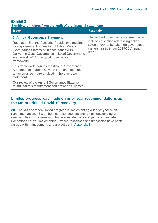#### **Exhibit 2 Significant findings from the audit of the financial statements**

#### **Issue Resolution Resolution 1. Annual Governance Statement** Regulation 5 of the Accounts Regulations requires local government bodies to publish an Annual Governance Statement in accordance with Delivering Good Governance in Local Government: Framework 2016 (the good governance framework). This framework requires the Annual Governance Statement to address how the IJB has responded to governance matters raised in the prior year statement. The audited governance statement now includes a section addressing action matters raised in our 2019/20 Annual report.

Our review of the Annual Governance Statement found that this requirement had not been fully met. taken and/or to be taken on governance

#### **Limited progress was made on prior year recommendations as the IJB prioritised Covid-19 recovery**

**20.** The IJB has made limited progress in implementing our prior year audit recommendations. Six of the nine recommendations remain outstanding with one completed. The remaining two are substantially and partially completed. For actions not yet implemented, revised responses and timescales have been agreed with management, and are set out in [Appendix 1.](#page-20-0)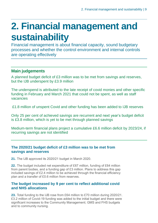## <span id="page-8-0"></span>**2. Financial management and sustainability**

Financial management is about financial capacity, sound budgetary processes and whether the control environment and internal controls are operating effectively

#### **Main judgements**

A planned budget deficit of £3 million was to be met from savings and reserves, but the IJB underspent by £3.9 million

The underspend is attributed to the late receipt of covid monies and other specific funding in February and March 2021 that could not be spent, as well as staff vacancies

£1.8 million of unspent Covid and other funding has been added to IJB reserves

Only 25 per cent of achieved savings are recurrent and next year's budget deficit is £3.8 million, which is yet to be met through planned savings

Medium-term financial plans project a cumulative £6.6 million deficit by 2023/24, if recurring savings are not identified

#### **The 2020/21 budget deficit of £3 million was to be met from savings and reserves**

**21.** The IJB approved its 2020/21 budget in March 2020.

**22.** The budget included net expenditure of £67 million, funding of £64 million from parent bodies, and a funding gap of £3 million. Plans to address this gap included savings of £2.4 million to be achieved through the financial efficiency plan and a transfer of £0.6 million from reserves.

#### **The budget increased by 9 per cent to reflect additional covid and NHS allocations**

**23.** Total funding to the IJB rose from £64 million to £70 million during 2020/21. £3.2 million of Covid-19 funding was added to the initial budget and there were significant increases to the Community Management; GMS and FHS budgets and to community nursing.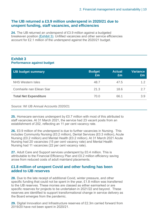#### **The IJB returned a £3.9 million underspend in 2020/21 due to unspent funding, staff vacancies, and efficiencies**

**24.** The IJB returned an underspend of £3.9 million against a budgeted breakeven position [\(Exhibit 3\).](#page-9-0) Unfilled vacancies and other service efficiencies account for £2.1 million of the underspend against the 2020/21 budget.

#### <span id="page-9-0"></span>**Exhibit 3 Performance against budget**

| <b>IJB budget summary</b>    | <b>Budget</b><br>£m | <b>Actual</b><br>£m | <b>Variance</b><br>£m |
|------------------------------|---------------------|---------------------|-----------------------|
| <b>NHS Western Isles</b>     | 48.7                | 47.5                | 1.2                   |
| Comhairle nan Eilean Siar    | 21.3                | 18.6                | 2.7                   |
| <b>Total Net Expenditure</b> | 70.0                | 66.1                | 3.9                   |

Source: WI IJB Annual Accounts 2020/21

**25.** Homecare services underspent by £0.7 million with most of this attributed to staff vacancies. At 31 March 2021, the service had 23 vacant posts from an establishment of 202, reflecting an 11 per cent vacancy rate.

**26.** £0.9 million of the underspend is due to further vacancies in Nursing. This includes Community Nursing (£0.2 million), Dental Services (£0.3 million), Acute Nursing (£0.2 million) and Mental Health (£0.2 million). At 31 March 2021 Acute Nursing had 20 vacancies (15 per cent vacancy rate) and Mental Health Nursing had 11 vacancies (22 per cent vacancy rate).

**27.** Adult Care and Support services underspent by £0.4 million. This is attributable to the Financial Efficiency Plan and £0.2 million efficiency saving arose from reduced costs of adult mainland placements.

#### **£1.8 million of unspent Covid and other funding has been added to IJB reserves**

**28.** Due to the late receipt of additional Covid, winter pressure, and other specific funding that could not be spent in the year, £1.8 million was transferred to the IJB reserves. These monies are classed as either earmarked or are specific reserves for projects to be undertaken in 2021/22 and beyond. These reserves are identified to support transformational change in service delivery as the Board emerges from the pandemic.

**29.** Digital Innovation and Infrastructure reserves of £2.3m carried forward from 2019/20 have not been spent in 2020/21.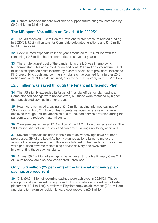**30.** General reserves that are available to support future budgets increased by £0.9 million to £1.5 million.

#### **The IJB spent £2.4 million on Covid-19 in 2020/21**

**31.** The IJB received £3.2 million of Covid and winter pressure related funding in 2020/21. £2.2 million was for Comhairle delegated functions and £1.0 million for NHS services.

**32.** Covid related expenditure in the year amounted to £2.4 million with the remaining £0.8 million held as earmarked reserves at year end.

**33.** The single largest cost of the pandemic to the IJB was in employing temporary staff. This accounted for an additional £0.7 million expenditure. £0.3 million was spent on costs incurred by external social care providers. Increased FHS prescribing costs and community hubs each accounted for a further £0.3 million and local PPE costs incurred, prior to the hub system, were £0.2 million.

#### **£2.5 million was saved through the Financial Efficiency Plan**

**34.** The IJB slightly exceeded its target of financial efficiency plan savings. Some planned savings were not achieved, but these were matched by higher than anticipated savings in other areas.

**35.** Healthcare achieved a saving of £1.2 million against planned savings of £0.7 million with £0.3 million of this in dental services, where savings were achieved through unfilled vacancies due to reduced service provision during the pandemic, and reduced material costs.

**36.** Care services achieved £1.3 million of the £1.7 million planned savings. The £0.4 million shortfall due to off-island placement savings not being achieved.

**37.** Several proposals included in the plan to deliver savings have not been progressed. Six of the Local Authority planned actions failed to make the savings that were planned, and this was attributed to the pandemic. Resources were prioritised towards maintaining service delivery and away from implementing these savings plans.

**38.** Almost £0.1 million of savings to be achieved through a Primary Care Out of Hours review are also now considered unrealistic.

#### **Only £0.6 million (25 per cent) of the financial efficiency plan savings are recurrent**

**39.** Only £0.6 million of recurring savings were achieved in 2020/21. These were principally achieved through a reduction in costs associated with off-island placement (£0.1 million), a review of Physiotherapy establishment (£0.1 million) and plans to maximise residential care cost recovery (£0.1million).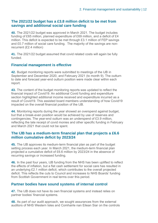#### **The 2021/22 budget has a £3.8 million deficit to be met from savings and additional social care funding**

**40.** The 2021/22 budget was approved in March 2021. The budget includes funding of £65 million, planned expenditure of £69 million, and a deficit of £4 million. This deficit is expected to be met through £3.1 million of FEP savings and £0.7 million of social care funding. The majority of the savings are nonrecurrent (£2.4 million)

**41.** The 2021/22 budget assumed that covid related costs will again be fully funded.

#### **Financial management is effective**

**42.** Budget monitoring reports were submitted to meetings of the IJB in September and December 2020, and February 2021 (to month 9). The outturn to date and forecast year-end outturn position were made clear within each report.

**43.** The content of the budget monitoring reports was updated to reflect the financial impact of Covid19. An additional Covid funding and expenditure section highlighted additional income received and expenditure incurred as a result of Covid19. This assisted board members understanding of how Covid19 impacted on the overall financial position of the IJB.

**44.** Monitoring reports during the year showed an overspend against budget, but that a break-even position would be achieved by use of reserves and contingencies. The year-end outturn was an underspend of £3.9 million, reflecting the late receipt of covid monies and other specific funding in February and March 2021 that could not be spent.

#### **The IJB has a medium-term financial plan that projects a £6.6 million cumulative deficit by 2023/24**

**45.** The IJB approves its medium-term financial plan as part of the budget setting process each year. In March 2021, the medium-term financial plan projected a cumulative deficit of £6.6 million by 2023/24 in the absence of recurring savings or increased funding.

**46.** In the past four years, IJB funding from the NHS has been uplifted to reflect the effects of inflation, but a flat cash settlement for social care has resulted in an underlying £2.1 million deficit, which contributes to the overall projected deficit. This reflects the cuts to Council and increases to NHS Boards' funding from Scottish Government in real terms over this period.

#### **Partner bodies have sound systems of internal control**

**47.** The IJB does not have its own financial systems and instead relies on partner bodies' financial systems.

**48.** As part of our audit approach, we sought assurances from the external auditors of NHS Western Isles and Comhairle nan Eilean Siar on the controls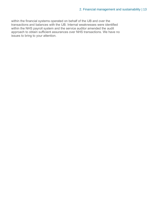within the financial systems operated on behalf of the IJB and over the transactions and balances with the IJB. Internal weaknesses were identified within the NHS payroll system and the service auditor amended the audit approach to obtain sufficient assurances over NHS transactions. We have no issues to bring to your attention.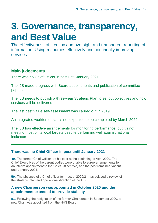### <span id="page-13-0"></span>**3. Governance, transparency, and Best Value**

The effectiveness of scrutiny and oversight and transparent reporting of information. Using resources effectively and continually improving services.

#### **Main judgements**

There was no Chief Officer in post until January 2021

The IJB made progress with Board appointments and publication of committee papers

The IJB needs to publish a three-year Strategic Plan to set out objectives and how services will be delivered

The last best value self-assessment was carried out in 2019

An integrated workforce plan is not expected to be completed by March 2022

The IJB has effective arrangements for monitoring performance, but it's not meeting most of its local targets despite performing well against national indicators

#### **There was no Chief Officer in post until January 2021**

**49.** The former Chief Officer left his post at the beginning of April 2020. The Chief Executives of the parent bodies were unable to agree arrangements for an interim appointment to the Chief Officer role, and the post remained vacant until January 2021.

**50.** The absence of a Chief officer for most of 2020/21 has delayed a review of the strategic plan and operational direction of the IJB.

#### **A new Chairperson was appointed in October 2020 and the appointment extended to provide stability**

**51.** Following the resignation of the former Chairperson in September 2020, a new Chair was appointed from the NHS Board.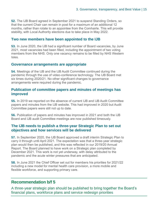**52.** The IJB Board agreed in September 2021 to suspend Standing Orders, so that the current Chair can remain in post for a maximum of an additional 12 months, rather than rotate to an appointee from the Comhairle. This will provide stability, with Local Authority elections due to take place in May 2022.

#### **Two new members have been appointed to the IJB**

**53.** In June 2020, the IJB had a significant number of Board vacancies, by June 2021, most vacancies had been filled, including the appointment of two voting members from the NHS. Only one vacancy remains to be filled by NHS Western Isles.

#### **Governance arrangements are appropriate**

**54.** Meetings of the IJB and the IJB Audit Committee continued during the pandemic through the use of video-conference technology. The IJB Board met six times during 2020/21. No other significant changes to governance arrangements were required during the pandemic.

#### **Publication of committee papers and minutes of meetings has improved**

**55.** In 2019 we reported on the absence of current IJB and IJB Audit Committee papers and minutes from the IJB website. This had improved in 2020 but Audit Committee papers were still not up to date.

**56.** Publication of papers and minutes has improved in 2021 and both the IJB Board and IJB audit Committee meetings are now published timeously.

#### **The IJB needs to publish a three-year Strategic Plan to set out objectives and how services will be delivered**

**57.** In September 2020, the IJB Board approved a draft interim Strategic Plan to carry it through until April 2021. The expectation was that a three-year strategic plan would then be published, and this was reflected in our 2019/20 Annual Report. The Board planned to have work on a Strategic plan completed by December 2021. This work is not yet underway, with delay attributed to the pandemic and the acute winter pressures that are anticipated.

**58.** In June 2021 the Chief Officer set out for members his priorities for 2021/22 including a new model for mental health care provision, a more mobile and flexible workforce, and supporting primary care.

#### **Recommendation b/f 5**

A three-year strategic plan should be published to bring together the Board's financial plans, workforce plans and service redesign priorities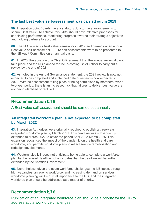#### **The last best value self-assessment was carried out in 2019**

**59.** Integration Joint Boards have a statutory duty to have arrangements to secure Best Value. To achieve this, IJBs should have effective processes for scrutinising performance, monitoring progress towards their strategic objectives and holding partners to account.

**60.** The IJB revised its best value framework in 2019 and carried out an annual Best value self-assessment. Future self-assessments were to be presented to the IJB Audit Committee on an annual basis.

**61.** In 2020, the absence of a Chief Officer meant that the annual review did not take place and the IJB planned for the in-coming Chief Officer to carry out a review by the end of 2021.

**62.** As noted in the Annual Governance statement, the 2021 review is now not expected to be completed and a planned date of review is now expected in 2022. With no assessment taking place or being scrutinised by members over a two-year period, there is an increased risk that failures to deliver best value are not being identified or rectified.

#### **Recommendation b/f 9**

A Best value self-assessment should be carried out annually.

#### **An integrated workforce plan is not expected to be completed by March 2022**

**63.** Integration Authorities were originally required to publish a three-year integrated workforce plan by March 2021. This deadline was subsequently extended to March 2022 to cover the period April 2022-March 2025. This extension recognised the impact of the pandemic on the health and care workforce, and permits workforce plans to reflect service remobilisation and redesign developments.

**64.** Western Isles IJB does not anticipate being able to complete a workforce plan by the revised deadline but anticipates that the deadline will be further extended by the Scottish Government.

**65.** Nevertheless, given the acute workforce challenges the IJB faces, through high vacancies, an ageing workforce, and increasing demand on services, workforce planning will be of vital importance to the IJB, and the integrated workforce plan should be addressed as a matter of priority.

#### **Recommendation b/f 6**

Publication of an integrated workforce plan should be a priority for the IJB to address acute workforce challenges.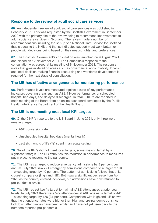#### **Response to the review of adult social care services**

**66.** An independent review of adult social care services was published in February 2021. This was requested by the Scottish Government in September 2020 with the primary aim of the review being to recommend improvements to adult social care services in Scotland. The review made a number of recommendations including the set-up of a National Care Service for Scotland that is equal to the NHS and that self-directed support must work better for people with decisions being based on their needs, rights, and preferences.

**67.** The Scottish Government's consultation was launched on 9 August 2021 and closed on 12 November 2021. The Comhairle's response to the consultation was agreed at its meeting of 8 November 2021. The response notes that greater detail on areas such as governance, accountability, localism and local decision-making financial resourcing and workforce development is required for the next stage of consultation.

#### **The IJB has effective arrangements for monitoring performance**

**68.** Performance levels are measured against a suite of key performance indicators covering areas such as A&E 4 Hour performance, unscheduled hospital bed days, and delayed discharges. In total, 9 KPI's are reported to each meeting of the Board from an online dashboard developed by the Public Health Intelligence Department of the Health Board.

#### **The IJB is not meeting most local KPI targets**

**69.** Of the 9 KPI's reported to the IJB Board in June 2021, only three were meeting target:

- A&E conversion rate
- Unscheduled hospital bed days (mental health)
- Last six months of life (%) spent in an acute setting

**70.** Six of the KPI's did not meet local targets, some missing target by a significant margin. The IJB attributes this reduction in performance to measures put in place to respond to the pandemic.

**71.** The IJB has a target to reduce emergency admissions by 3 per cent per annum. July 2021 saw 271 emergency admissions compared to a target of 194 – exceeding target by 40 per cent. The pattern of admissions follows that of its closest comparator (Highland IJB). Both saw a significant decrease from April 2020 as the country entered lockdown, but admissions have now returned to pre-pandemic levels.

**72.** The IJB has set itself a target to maintain A&E attendances at prior year levels. In July 2021 there were 577 attendances at A&E against a target of 441 – exceeding target by 136 (31 per cent). Comparison with Highland IJB shows that the attendance rates were higher than Highland pre-pandemic but since lockdown attendances have been similar and have not yet risen back to the numbers reported pre-pandemic.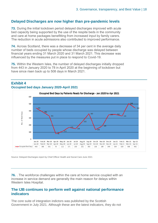#### **Delayed Discharges are now higher than pre-pandemic levels**

**73.** During the initial lockdown period delayed discharges improved with acute bed capacity being supported by the use of the respite beds in the community and care at home packages benefitting from increased input by family carers. The reduction in acute admissions also contributed to improved performance.

**74.** Across Scotland, there was a decrease of 34 per cent in the average daily number of beds occupied by people whose discharge was delayed between financial years ending 31 March 2020 and 31 March 2021. This decrease was influenced by the measures put in place to respond to Covid-19.

**75.** Within the Western Isles, the number of delayed discharges initially dropped from 443 in January 2020 to 78 in April 2020 at the beginning of lockdown but have since risen back up to 508 days in March 2021.



#### **Exhibit 4 Occupied bed days January 2020-April 2021**

Source: Delayed Discharges report by Chief Officer Health and Social Care June 2021

**76.** . The workforce challenges within the care at home service coupled with an increase in service demand are generally the main reason for delays within Western Isles Hospital.

#### **The IJB continues to perform well against national performance indicators**

The core suite of integration indictors was published by the Scottish Government in July 2021. Although these are the latest indicators, they do not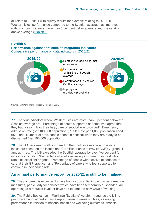all relate to 2020/21 with survey results for example relating to 2019/20. Western Isles' performance compared to the Scottish average has improved with only four indicators more than 5 per cent below average and twelve at or above average [\(Exhibit 5](bookmark://Exhibit_4/)).

#### **Exhibit 5**

**Performance against core suite of integration indicators** Comparative performance on data indicators in 2020/21



Source: IJB Performance Report September 2021

**77.** The four indicators where Western Isles are more than 5 per cent below the Scottish average are: 'Percentage of adults supported at home who agree that they had a say in how their help, care or support was provided'; 'Emergency admission rate (per 100,000 population)'; 'Falls Rate per 1,000 population aged 65+'; and 'Number of days people spend in hospital when they are ready to be discharged (per 100,000 population)'.

**78.** The IJB performed well compared to the Scottish average across nine indicators based on the Health and Care Experience survey (HACE); 7 green, 1 amber, 1 red. The IJB exceeded the Scottish average by over five per cent for indicators including 'Percentage of adults receiving any care or support who rate it as excellent or good'; 'Percentage of people with positive experience of care at their GP practice'; and 'Percentage of carers who feel supported to continue in their caring role'.

#### **An annual performance report for 2020/21 is still to be finalised**

**79.** The pandemic is expected to have had a substantial impact on performance measures, particularly for services which have been temporarily suspended, are operating at a reduced level, or have had to adapt to new ways of working.

**80.** The Public Bodies (Joint Working) (Scotland) Act 2014 requires the IJB to produce an annual performance report covering areas such as; assessing performance in relation to national health and wellbeing outcomes, financial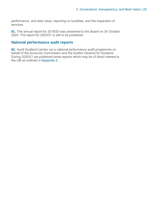performance, and best value, reporting on localities, and the inspection of services.

**81.** The annual report for 2019/20 was presented to the Board on 30 October 2020. The report for 2020/21 is still to be published.

#### **National performance audit reports**

**82.** Audit Scotland carries out a national performance audit programme on behalf of the Accounts Commission and the Auditor General for Scotland. During 2020/21 we published some reports which may be of direct interest to the IJB as outlined in [Appendix 3](#page-29-0).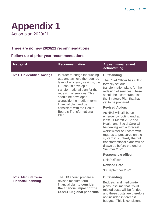### <span id="page-20-0"></span>**Appendix 1** Action plan 2020/21

#### **There are no new 2020/21 recommendations**

#### **Follow-up of prior year recommendations**

| <b>Issue/risk</b>           | <b>Recommendation</b>                                                                                                                                                                                                                | <b>Agreed management</b><br>action/timing                                                                                                                                                                                                                                                                                                    |
|-----------------------------|--------------------------------------------------------------------------------------------------------------------------------------------------------------------------------------------------------------------------------------|----------------------------------------------------------------------------------------------------------------------------------------------------------------------------------------------------------------------------------------------------------------------------------------------------------------------------------------------|
| b/f 1. Unidentified savings | In order to bridge the funding                                                                                                                                                                                                       | <b>Outstanding</b>                                                                                                                                                                                                                                                                                                                           |
|                             | gap and achieve the required<br>level of efficiency savings, the<br>IJB should develop a<br>transformational plan for the<br>redesign of services. This<br>should be developed<br>alongside the medium-term<br>financial plan and be | The Chief Officer has still to<br>formally set out<br>transformation plans for the<br>redesign of services. These<br>should be incorporated into<br>the Strategic Plan that has<br>yet to be prepared.                                                                                                                                       |
|                             | consistent with the Health                                                                                                                                                                                                           | <b>Revised Action:</b>                                                                                                                                                                                                                                                                                                                       |
|                             | <b>Board's Transformational</b><br>Plan.                                                                                                                                                                                             | As NHS will still be on<br>emergency footing until at<br>least 31 March 2022 and<br><b>Health and Social Care will</b><br>be dealing with a forecast<br>worst winter on record with<br>regards to pressures on the<br>system it is unlikely that full<br>transformational plans will be<br>drawn up before the end of<br><b>Summer 2022.</b> |
|                             |                                                                                                                                                                                                                                      | <b>Responsible officer</b>                                                                                                                                                                                                                                                                                                                   |
|                             |                                                                                                                                                                                                                                      | <b>Chief Officer</b>                                                                                                                                                                                                                                                                                                                         |
|                             |                                                                                                                                                                                                                                      | <b>Revised Date</b>                                                                                                                                                                                                                                                                                                                          |
|                             |                                                                                                                                                                                                                                      | 30 September 2022                                                                                                                                                                                                                                                                                                                            |
| b/f 2. Medium Term          | The IJB should prepare a                                                                                                                                                                                                             | <b>Outstanding</b>                                                                                                                                                                                                                                                                                                                           |
| <b>Financial Planning</b>   | revised medium-term<br>financial plan to consider<br>the financial impact of the<br><b>COVID-19 global pandemic.</b>                                                                                                                 | Budgets, and medium-term<br>plans, assume that Covid<br>related costs will be funded,<br>and these costs are therefore<br>not included in forecast<br>budgets. This is consistent                                                                                                                                                            |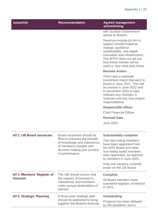| <b>Issue/risk</b>           | <b>Recommendation</b>                                                                                                                     | <b>Agreed management</b><br>action/timing                                                                                                                                                                                            |
|-----------------------------|-------------------------------------------------------------------------------------------------------------------------------------------|--------------------------------------------------------------------------------------------------------------------------------------------------------------------------------------------------------------------------------------|
|                             |                                                                                                                                           | with Scottish Government<br>advice to Boards.                                                                                                                                                                                        |
|                             |                                                                                                                                           | Reserves include £4.4m to<br>support transformational<br>change, workforce<br>sustainability, and digital<br>innovation and infrastructure.<br>The MTFP does not set out<br>how those monies will be<br>used or over what time frame |
|                             |                                                                                                                                           | <b>Revised Action:</b>                                                                                                                                                                                                               |
|                             |                                                                                                                                           | There was a separate<br>Investment report that went to<br>Board in June 2021. This will<br>be revised in June 2022 and<br>in December 2022 to take<br>onboard any changes in<br>reserves and any new project<br>responsibilities     |
|                             |                                                                                                                                           | <b>Responsible officer</b>                                                                                                                                                                                                           |
|                             |                                                                                                                                           | <b>Chief Financial Officer</b>                                                                                                                                                                                                       |
|                             |                                                                                                                                           | <b>Revised Date</b>                                                                                                                                                                                                                  |
|                             |                                                                                                                                           | <b>June 2022</b>                                                                                                                                                                                                                     |
| b/f 3. IJB Board vacancies  | Board vacancies should be                                                                                                                 | <b>Substantially complete</b>                                                                                                                                                                                                        |
|                             | filled to enhance the breadth<br>of knowledge and experience<br>of members charged with<br>decision making and scrutiny<br>of performance | Two new voting members<br>have been appointed from<br>the NHS Board and other<br>non-voting board members<br>were appointed, as reported<br>to members in June 2021.                                                                 |
|                             |                                                                                                                                           | Only one vacancy currently<br>exists on the IJB Board.                                                                                                                                                                               |
| b/f 4. Members' Register of | The IJB should ensure that                                                                                                                | <b>Complete</b>                                                                                                                                                                                                                      |
| <b>Interests</b>            | the register of interests is<br>maintained, and members<br>make annual declarations of<br>interest.                                       | All Board members have<br>submitted registers of interest<br>in 2021.                                                                                                                                                                |
| b/f 5. Strategic Planning   | A three-year strategic plan                                                                                                               | <b>Outstanding</b>                                                                                                                                                                                                                   |
|                             | should be published to bring<br>together the Board's financial                                                                            | Progress has been delayed<br>by the pandemic and is                                                                                                                                                                                  |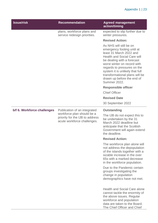| <b>Issue/risk</b>           | <b>Recommendation</b>                                                                                                        | <b>Agreed management</b><br>action/timing                                                                                                                                                                                                                                                                                                    |
|-----------------------------|------------------------------------------------------------------------------------------------------------------------------|----------------------------------------------------------------------------------------------------------------------------------------------------------------------------------------------------------------------------------------------------------------------------------------------------------------------------------------------|
|                             | plans, workforce plans and<br>service redesign priorities.                                                                   | expected to slip further due to<br>winter pressures.                                                                                                                                                                                                                                                                                         |
|                             |                                                                                                                              | <b>Revised Action:</b>                                                                                                                                                                                                                                                                                                                       |
|                             |                                                                                                                              | As NHS will still be on<br>emergency footing until at<br>least 31 March 2022 and<br><b>Health and Social Care will</b><br>be dealing with a forecast<br>worst winter on record with<br>regards to pressures on the<br>system it is unlikely that full<br>transformational plans will be<br>drawn up before the end of<br><b>Summer 2022.</b> |
|                             |                                                                                                                              | <b>Responsible officer</b>                                                                                                                                                                                                                                                                                                                   |
|                             |                                                                                                                              | <b>Chief Officer</b>                                                                                                                                                                                                                                                                                                                         |
|                             |                                                                                                                              | <b>Revised Date</b>                                                                                                                                                                                                                                                                                                                          |
|                             |                                                                                                                              | 30 September 2022                                                                                                                                                                                                                                                                                                                            |
| b/f 6. Workforce challenges | Publication of an integrated<br>workforce plan should be a<br>priority for the IJB to address<br>acute workforce challenges. | <b>Outstanding</b>                                                                                                                                                                                                                                                                                                                           |
|                             |                                                                                                                              | The IJB do not expect this to<br>be undertaken by the 31<br>March 2022 deadline but<br>anticipate that the Scottish<br>Government will again extend<br>the deadline.                                                                                                                                                                         |
|                             |                                                                                                                              | <b>Revised Action:</b>                                                                                                                                                                                                                                                                                                                       |
|                             |                                                                                                                              | The workforce plan alone will<br>not address the depopulation<br>of the islands together with a<br>sizable increase in the over<br>65s with a marked decrease<br>in the workforce population.                                                                                                                                                |
|                             |                                                                                                                              | Due to the Pandemic certain<br>groups investigating the<br>change in population<br>demographics have not met.                                                                                                                                                                                                                                |
|                             |                                                                                                                              | <b>Health and Social Care alone</b><br>cannot tackle the enormity of<br>the above issues. Regular<br>workforce and population<br>data are taken to the Board.<br>The Chief Officer and Chief                                                                                                                                                 |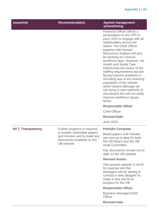| <b>Issue/risk</b>   | <b>Recommendation</b>                                                                                          | <b>Agreed management</b><br>action/timing                                                                                                                                                                                                                                                                                                                                                                                                                                                                                                                                                                                           |
|---------------------|----------------------------------------------------------------------------------------------------------------|-------------------------------------------------------------------------------------------------------------------------------------------------------------------------------------------------------------------------------------------------------------------------------------------------------------------------------------------------------------------------------------------------------------------------------------------------------------------------------------------------------------------------------------------------------------------------------------------------------------------------------------|
|                     |                                                                                                                | Financial Officer will do a<br>presentation to the CPP in<br>early 2022 to engage with all<br>stakeholders across the<br>island. The Chief Officer<br>together with Human<br>Resources Support will also<br>be working on a formal<br>workforce plan. However, the<br><b>Health and Social Care</b><br>Partnership are aware of the<br>staffing requirements but are<br>facing extreme problems in<br>recruiting due to the reducing<br>population of the islands<br>which means although we<br>can bring in new methods of<br>recruitment this will not really<br>improve workforce issues<br>faced.<br><b>Responsible officer</b> |
|                     |                                                                                                                | <b>Chief Officer</b>                                                                                                                                                                                                                                                                                                                                                                                                                                                                                                                                                                                                                |
|                     |                                                                                                                | <b>Revised Date</b>                                                                                                                                                                                                                                                                                                                                                                                                                                                                                                                                                                                                                 |
|                     |                                                                                                                | <b>June 2022</b>                                                                                                                                                                                                                                                                                                                                                                                                                                                                                                                                                                                                                    |
| b/f 7. Transparency | Further progress is required                                                                                   | <b>Partially Complete</b>                                                                                                                                                                                                                                                                                                                                                                                                                                                                                                                                                                                                           |
|                     | to publish committee papers<br>and minutes and to make key<br>documents available on the<br><b>IJB</b> website | Board papers and minutes<br>are now up to date for both<br>the IJB Board and the IJB<br>Audit Committee.                                                                                                                                                                                                                                                                                                                                                                                                                                                                                                                            |
|                     |                                                                                                                | Key documents remain out of<br>date on the IJB website.                                                                                                                                                                                                                                                                                                                                                                                                                                                                                                                                                                             |
|                     |                                                                                                                | <b>Revised Action:</b>                                                                                                                                                                                                                                                                                                                                                                                                                                                                                                                                                                                                              |
|                     |                                                                                                                | The present website is not fit<br>for purpose and the<br>Managers will be aiming to<br>contract a web designer to<br>make a new site fit for<br>purpose for the IJB                                                                                                                                                                                                                                                                                                                                                                                                                                                                 |
|                     |                                                                                                                | <b>Responsible officer</b>                                                                                                                                                                                                                                                                                                                                                                                                                                                                                                                                                                                                          |
|                     |                                                                                                                | <b>Business Manager/Chief</b><br><b>Officer</b>                                                                                                                                                                                                                                                                                                                                                                                                                                                                                                                                                                                     |
|                     |                                                                                                                | <b>Revised Date</b>                                                                                                                                                                                                                                                                                                                                                                                                                                                                                                                                                                                                                 |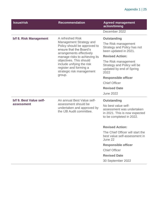| <b>Issue/risk</b>                                                                                                                                     | <b>Recommendation</b>                                                                                          | <b>Agreed management</b><br>action/timing                                              |
|-------------------------------------------------------------------------------------------------------------------------------------------------------|----------------------------------------------------------------------------------------------------------------|----------------------------------------------------------------------------------------|
|                                                                                                                                                       |                                                                                                                | December 2022                                                                          |
| b/f 8. Risk Management                                                                                                                                | A refreshed Risk                                                                                               | <b>Outstanding</b>                                                                     |
|                                                                                                                                                       | Management Strategy and<br>Policy should be approved to<br>ensure that the Board's<br>arrangements effectively | The Risk management<br>Strategy and Policy has not<br>been updated in 2021.            |
|                                                                                                                                                       | manage risks to achieving its                                                                                  | <b>Revised Action:</b>                                                                 |
|                                                                                                                                                       | objectives. This should<br>include unifying the risk<br>register and forming a<br>strategic risk management    | The Risk management<br>Strategy and Policy will be<br>updated by end of Spring<br>2022 |
|                                                                                                                                                       | group.                                                                                                         | <b>Responsible officer</b>                                                             |
|                                                                                                                                                       |                                                                                                                | <b>Chief Officer</b>                                                                   |
|                                                                                                                                                       |                                                                                                                | <b>Revised Date</b>                                                                    |
|                                                                                                                                                       |                                                                                                                | <b>June 2022</b>                                                                       |
| b/f 9. Best Value self-<br>An annual Best Value self-<br>assessment should be<br>assessment<br>undertaken and approved by<br>the IJB Audit committee. |                                                                                                                | <b>Outstanding</b>                                                                     |
|                                                                                                                                                       | No best value self-<br>assessment was undertaken<br>in 2021. This is now expected<br>to be completed in 2022.  |                                                                                        |
|                                                                                                                                                       |                                                                                                                | <b>Revised Action:</b>                                                                 |
|                                                                                                                                                       |                                                                                                                | The Chief Officer will start the<br>best value self-assessment in<br>June 22           |
|                                                                                                                                                       |                                                                                                                | <b>Responsible officer</b>                                                             |
|                                                                                                                                                       |                                                                                                                | <b>Chief Officer</b>                                                                   |
|                                                                                                                                                       |                                                                                                                | <b>Revised Date</b>                                                                    |
|                                                                                                                                                       |                                                                                                                | 30 September 2022                                                                      |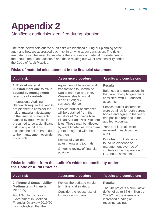## <span id="page-25-0"></span>**Appendix 2**

Significant audit risks identified during planning

The table below sets out the audit risks we identified during our planning of the audit and how we addressed each risk in arriving at our conclusion. The risks are categorised between those where there is a risk of material misstatement in the annual report and accounts and those relating our wider responsibility under the Code of Audit Practice.

#### **Risks of material misstatement in the financial statements**

| <b>Audit risk</b>                                                                                                                                                                                                                              | <b>Assurance procedure</b>                                                                                                                                                                                      | <b>Results and conclusions</b>                                                                                                                                                           |
|------------------------------------------------------------------------------------------------------------------------------------------------------------------------------------------------------------------------------------------------|-----------------------------------------------------------------------------------------------------------------------------------------------------------------------------------------------------------------|------------------------------------------------------------------------------------------------------------------------------------------------------------------------------------------|
| 1. Risk of material<br>misstatement due to fraud<br>caused by management<br>override of controls                                                                                                                                               | Agreement of balances and<br>transactions to Comhairle<br>Nan Eilean Siar and NHS<br>Western Isles financial<br>reports / ledger /                                                                              | <b>Results:</b><br>Balances and transactions in<br>the parent body ledgers were<br>consistent with IJB audited                                                                           |
| International Auditing<br>Standards require that audits<br>are planned to consider the<br>risk of material misstatement<br>in the financial statements<br>caused by fraud, which is<br>presumed to be a significant<br>risk in any audit. This | correspondence.<br>Service auditor assurances<br>will be obtained from the<br>auditors of Comhairle Nan<br><b>Eilean Siar and NHS Western</b><br>Isles. These may be affected<br>by audit timetables, which are | accounts.<br>Service auditor assurances<br>were obtained for both parent<br>bodies and agree to the year-<br>end position reported in the<br>audited accounts.<br>Year-end journals were |
| includes the risk of fraud due<br>to the management override<br>of controls.                                                                                                                                                                   | yet to be agreed with the<br>partners.                                                                                                                                                                          | reviewed in each partner<br>audit.                                                                                                                                                       |
|                                                                                                                                                                                                                                                | Review of year-end<br>adjustments and journals.                                                                                                                                                                 | <b>Conclusion: Audit work</b><br>found no evidence of                                                                                                                                    |
|                                                                                                                                                                                                                                                | On-going review of financial<br>position.                                                                                                                                                                       | management override of<br>controls in the preparation of<br>IID oppunt poopunto                                                                                                          |

#### **Risks identified from the auditor's wider responsibility under the Code of Audit Practice**

| <b>Audit risk</b>                                                                                                                                                                                     | <b>Assurance procedure</b>                                                                                    | <b>Results and conclusions</b>                                                                                                                                  |
|-------------------------------------------------------------------------------------------------------------------------------------------------------------------------------------------------------|---------------------------------------------------------------------------------------------------------------|-----------------------------------------------------------------------------------------------------------------------------------------------------------------|
| 2. Financial Sustainability -<br><b>Medium term Financial</b><br><b>Planning</b><br><b>Audit Scotland's Local</b><br>Government in Scotland<br>Financial Overview 2019/20<br>has highlighted that the | Review the updated medium-<br>term financial strategy.<br>Consider the robustness of<br>future savings plans. | <b>Results:</b><br>The IJB projects a cumulative<br>deficit of up to £6.6 million by<br>2023/24 in the absence of<br>increased funding or<br>recurring savings. |

IJB annual accounts.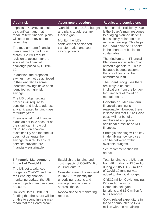| <b>Audit risk</b>                                                                                                                                                                                                       | <b>Assurance procedure</b>                                                                                                                                            | <b>Results and conclusions</b>                                                                                                                                                                                                                 |
|-------------------------------------------------------------------------------------------------------------------------------------------------------------------------------------------------------------------------|-----------------------------------------------------------------------------------------------------------------------------------------------------------------------|------------------------------------------------------------------------------------------------------------------------------------------------------------------------------------------------------------------------------------------------|
| impacts of COVID-19 could<br>be significant and that<br>medium-term financial plans<br>will need to be revised to<br>reflect this.<br>The medium-term financial<br>plan agreed by the IJB in<br>March 2020 will require | Consider the 2021/22 budget<br>and plans to address any<br>funding gap.<br>Monitor the IJB's<br>achievement of planned<br>transformation and cost<br>saving projects. | The Financial Efficiency Plan<br>is the Board's main response<br>to bridging planned deficits<br>but is highly reliant on non-<br>recurring savings. This helps<br>the Board balance its books<br>in the short term but is not<br>sustainable. |
| revision to account for the<br>scale of the financial<br>challenge posed by COVID-<br>19.<br>In addition, the proposed<br>savings may not be achieved                                                                   |                                                                                                                                                                       | The Medium-term Financial<br>Plan does not include Covid<br>related expenditure. This is<br>because budgets assume<br>that covid costs will be<br>reimbursed in full.                                                                          |
| in their entirety as some<br>identified savings have been<br>identified as high-risk<br>savings.                                                                                                                        |                                                                                                                                                                       | The Board recognises there<br>are likely to be cost<br>implications from the longer-<br>term impacts of Covid on<br>mental health.                                                                                                             |
| The IJB budget setting<br>process will require to<br>consider and look to address<br>any anticipated funding gaps<br>for future years.                                                                                  |                                                                                                                                                                       | <b>Conclusion: Medium term</b><br>financial planning is<br>reasonable. However, there<br>is some risk that future Covid<br>costs will not be fully                                                                                             |
| There is a risk that financial<br>plans do not take account of<br>the significant impact of<br>COVID-19 on financial                                                                                                    |                                                                                                                                                                       | reimbursed and place<br>additional pressure on IJB<br>finances.                                                                                                                                                                                |
| sustainability and that the IJB<br>does not generate the<br>savings required to ensure<br>services provided are                                                                                                         |                                                                                                                                                                       | Strategic planning will be key<br>in identifying how services<br>can be delivered within<br>available budgets.                                                                                                                                 |
| financially sustainable.                                                                                                                                                                                                |                                                                                                                                                                       | See recommendation b/f 5<br>above.                                                                                                                                                                                                             |
| 3 Financial Management -<br><b>Impact of Covid-19</b>                                                                                                                                                                   | Establish the funding and<br>cost impacts of COVID-19 on                                                                                                              | Total funding to the IJB rose<br>from £64 million to £70 million                                                                                                                                                                               |
| The IJB set a balanced<br>budget for 2020/21 and per<br>the February financial                                                                                                                                          | 2020/21 outturn.<br>Consider areas of overspend<br>in 2020/21 to identify the<br>underlying reasons and<br>management actions to<br>address these.                    | during 2020/21. £3.2 million<br>of Covid-19 funding was<br>added to the initial budget.                                                                                                                                                        |
| monitoring update, the IJB<br>were projecting an overspend<br>of $£0.1m$ .                                                                                                                                              |                                                                                                                                                                       | Of £3.2 million Covid funding,<br>£2.2 million was for<br>Comhairle delegated                                                                                                                                                                  |
| However, late COVID-19<br>funding that the Board will be                                                                                                                                                                | Review financial monitoring<br>reports.                                                                                                                               | functions and £1.0 million for<br><b>NHS</b> services.                                                                                                                                                                                         |
| unable to spend in-year may<br>mean that the Board break-                                                                                                                                                               |                                                                                                                                                                       | Covid related expenditure in<br>the year amounted to £2.4<br>million with the remaining                                                                                                                                                        |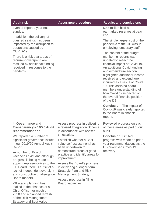| <b>Audit risk</b>                                                                                                                                                             | <b>Assurance procedure</b>                                                                                           | <b>Results and conclusions</b>                                                                                                                                                                                                                                                                                                                                                                             |
|-------------------------------------------------------------------------------------------------------------------------------------------------------------------------------|----------------------------------------------------------------------------------------------------------------------|------------------------------------------------------------------------------------------------------------------------------------------------------------------------------------------------------------------------------------------------------------------------------------------------------------------------------------------------------------------------------------------------------------|
| even or report a year end<br>surplus.                                                                                                                                         |                                                                                                                      | £0.8 million held as<br>earmarked reserves at year<br>end.                                                                                                                                                                                                                                                                                                                                                 |
| In addition, the delivery of<br>planned savings has been<br>impacted by the disruption to<br>operations caused by<br>COVID-19.                                                |                                                                                                                      | The single largest cost of the<br>pandemic to the IJB was in<br>employing temporary staff.                                                                                                                                                                                                                                                                                                                 |
| There is a risk that areas of<br>recurrent overspend are<br>masked by additional funding<br>received in response to the<br>pandemic.                                          |                                                                                                                      | The content of the budget<br>monitoring reports was<br>updated to reflect the<br>financial impact of Covid 19.<br>An additional Covid funding<br>and expenditure section<br>highlighted additional income<br>received and expenditure<br>incurred as a result of Covid<br>19. This assisted board<br>members understanding of<br>how Covid 19 impacted on<br>the overall financial position<br>of the IJB. |
|                                                                                                                                                                               |                                                                                                                      | <b>Conclusion:</b> The impact of<br>Covid-19 was clearly reported<br>to the Board in financial<br>reports                                                                                                                                                                                                                                                                                                  |
| 4. Governance and<br>Transparency - 19/20 Audit<br>recommendations                                                                                                            | Assess progress in delivering<br>a revised Integration Scheme<br>in accordance with revised                          | Reviewed progress on each<br>of these areas as part of our<br>audit                                                                                                                                                                                                                                                                                                                                        |
| We reported a number of<br>significant governance issues<br>in our 2019/20 Annual Audit<br>Report.                                                                            | timescales.<br>Establish whether a Best<br>value self-assessment has<br>been undertaken to                           | <b>Conclusion: Limited</b><br>progress was made on prior<br>year recommendations as the<br><b>IJB prioritised Covid-19</b>                                                                                                                                                                                                                                                                                 |
| •A number of Board<br>vacancies exist and although<br>progress is being made to                                                                                               | demonstrate areas of good<br>practice and identify areas for<br>improvement.                                         | recovery                                                                                                                                                                                                                                                                                                                                                                                                   |
| appoint representatives to the<br>IJB Board, there is a risk of a<br>lack of independent oversight<br>and constructive challenge on<br>Board matters.                         | Assess the Board's progress<br>in delivering a longer-term<br><b>Strategic Plan and Risk</b><br>Management Strategy. |                                                                                                                                                                                                                                                                                                                                                                                                            |
| •Strategic planning has<br>stalled in the absence of a<br>Chief Officer for much of<br>2020 and a planned refresh<br>of the Risk Management<br><b>Strategy and Best Value</b> | Assess progress in filling<br>Board vacancies.                                                                       |                                                                                                                                                                                                                                                                                                                                                                                                            |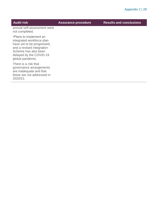| <b>Audit risk</b>                                                                                                                                                                     | <b>Assurance procedure</b> | <b>Results and conclusions</b> |
|---------------------------------------------------------------------------------------------------------------------------------------------------------------------------------------|----------------------------|--------------------------------|
| annual self-assessment were<br>not completed.                                                                                                                                         |                            |                                |
| •Plans to implement an<br>integrated workforce plan<br>have yet to be progressed,<br>and a revised Integration<br>Scheme has also been<br>delayed by the COVID-19<br>global pandemic. |                            |                                |
| There is a risk that<br>governance arrangements<br>are inadequate and that<br>these are not addressed in<br>2020/21.                                                                  |                            |                                |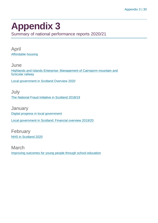### <span id="page-29-0"></span>**Appendix 3**

Summary of national performance reports 2020/21

April [Affordable housing](https://www.audit-scotland.gov.uk/report/affordable-housing)

**June** [Highlands and Islands Enterprise: Management of Cairngorm mountain and](https://www.audit-scotland.gov.uk/report/highlands-and-islands-enterprise-management-of-cairngorm-mountain-and-funicular-railway)  [funicular railway](https://www.audit-scotland.gov.uk/report/highlands-and-islands-enterprise-management-of-cairngorm-mountain-and-funicular-railway)

[Local government in Scotland Overview 2020](https://www.audit-scotland.gov.uk/report/local-government-in-scotland-overview-2020)

July [The National Fraud Initiative in Scotland 2018/19](https://www.audit-scotland.gov.uk/report/the-national-fraud-initiative-in-scotland-201819)

**January** [Digital progress in local government](https://www.audit-scotland.gov.uk/report/digital-progress-in-local-government) [Local government in Scotland: Financial overview 2019/20](https://www.audit-scotland.gov.uk/report/local-government-in-scotland-financial-overview-201920)

February [NHS in Scotland 2020](https://www.audit-scotland.gov.uk/report/nhs-in-scotland-2020)

March [Improving outcomes for young people through school education](https://www.audit-scotland.gov.uk/report/improving-outcomes-for-young-people-through-school-education)